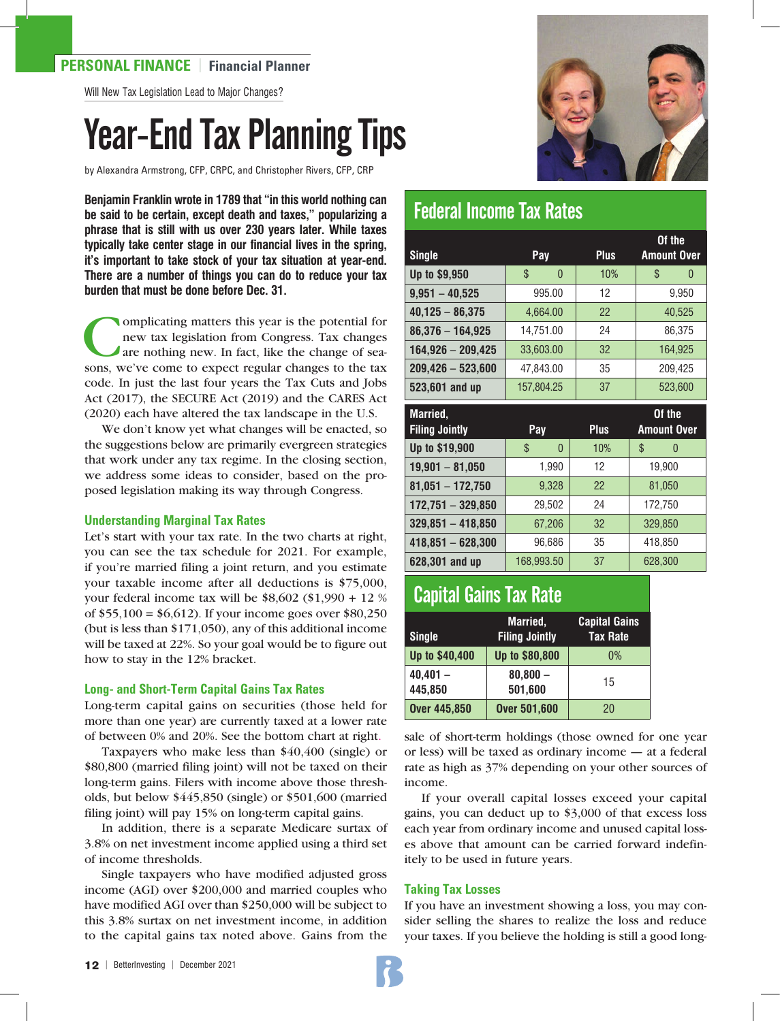## **PERSONAL FINANCE** | **Financial Planner**

Will New Tax Legislation Lead to Major Changes?

# Year-End Tax Planning Tips

by Alexandra Armstrong, CFP, CRPC, and Christopher Rivers, CFP, CRP

**Benjamin Franklin wrote in 1789 that "in this world nothing can be said to be certain, except death and taxes," popularizing a phrase that is still with us over 230 years later. While taxes typically take center stage in our financial lives in the spring, it's important to take stock of your tax situation at year-end. There are a number of things you can do to reduce your tax burden that must be done before Dec. 31.** 

**Complicating matters this year is the potential for<br>new tax legislation from Congress. Tax changes<br>are nothing new. In fact, like the change of sea-<br>sons we've come to expect regular changes to the tax** new tax legislation from Congress. Tax changes are nothing new. In fact, like the change of seasons, we've come to expect regular changes to the tax code. In just the last four years the Tax Cuts and Jobs Act (2017), the SECURE Act (2019) and the CARES Act (2020) each have altered the tax landscape in the U.S.

We don't know yet what changes will be enacted, so the suggestions below are primarily evergreen strategies that work under any tax regime. In the closing section, we address some ideas to consider, based on the proposed legislation making its way through Congress.

#### **Understanding Marginal Tax Rates**

Let's start with your tax rate. In the two charts at right, you can see the tax schedule for 2021. For example, if you're married filing a joint return, and you estimate your taxable income after all deductions is \$75,000, your federal income tax will be \$8,602 (\$1,990 + 12 % of \$55,100 = \$6,612). If your income goes over \$80,250 (but is less than \$171,050), any of this additional income will be taxed at 22%. So your goal would be to figure out how to stay in the 12% bracket.

#### **Long- and Short-Term Capital Gains Tax Rates**

Long-term capital gains on securities (those held for more than one year) are currently taxed at a lower rate of between 0% and 20%. See the bottom chart at right.

Taxpayers who make less than \$40,400 (single) or \$80,800 (married filing joint) will not be taxed on their long-term gains. Filers with income above those thresholds, but below \$445,850 (single) or \$501,600 (married filing joint) will pay 15% on long-term capital gains.

In addition, there is a separate Medicare surtax of 3.8% on net investment income applied using a third set of income thresholds.

Single taxpayers who have modified adjusted gross income (AGI) over \$200,000 and married couples who have modified AGI over than \$250,000 will be subject to this 3.8% surtax on net investment income, in addition to the capital gains tax noted above. Gains from the



# Federal Income Tax Rates

|                     |                      |             | Of the             |
|---------------------|----------------------|-------------|--------------------|
| <b>Single</b>       | <b>Pay</b>           | <b>Plus</b> | <b>Amount Over</b> |
| Up to \$9,950       | \$<br>$\overline{0}$ | 10%         | \$<br>$\theta$     |
| $9,951 - 40,525$    | 995.00               | 12          | 9,950              |
| $40,125 - 86,375$   | 4,664.00             | 22          | 40,525             |
| $86,376 - 164,925$  | 14,751.00            | 24          | 86,375             |
| $164,926 - 209,425$ | 33,603.00            | 32          | 164,925            |
| $209,426 - 523,600$ | 47,843.00            | 35          | 209,425            |
| 523,601 and up      | 157.804.25           | 37          | 523.600            |

| Married,              |                |             | Of the             |
|-----------------------|----------------|-------------|--------------------|
| <b>Filing Jointly</b> | Pay            | <b>Plus</b> | <b>Amount Over</b> |
| Up to \$19,900        | \$<br>$\theta$ | 10%         | \$<br>0            |
| $19,901 - 81,050$     | 1,990          | 12          | 19,900             |
| $81,051 - 172,750$    | 9,328          | 22          | 81,050             |
| $172,751 - 329,850$   | 29,502         | 24          | 172,750            |
| $329,851 - 418,850$   | 67,206         | 32          | 329,850            |
| $418,851 - 628,300$   | 96,686         | 35          | 418,850            |
| 628,301 and up        | 168,993.50     | 37          | 628,300            |

# Capital Gains Tax Rate

| <b>Single</b>         | Married.<br><b>Filing Jointly</b> | <b>Capital Gains</b><br><b>Tax Rate</b> |
|-----------------------|-----------------------------------|-----------------------------------------|
| Up to \$40,400        | Up to \$80,800                    | 0%                                      |
| $40.401 -$<br>445.850 | $80,800 -$<br>501,600             | 15                                      |
| <b>Over 445,850</b>   | <b>Over 501,600</b>               | 20                                      |

sale of short-term holdings (those owned for one year or less) will be taxed as ordinary income — at a federal rate as high as 37% depending on your other sources of income.

If your overall capital losses exceed your capital gains, you can deduct up to \$3,000 of that excess loss each year from ordinary income and unused capital losses above that amount can be carried forward indefinitely to be used in future years.

#### **Taking Tax Losses**

If you have an investment showing a loss, you may consider selling the shares to realize the loss and reduce your taxes. If you believe the holding is still a good long-

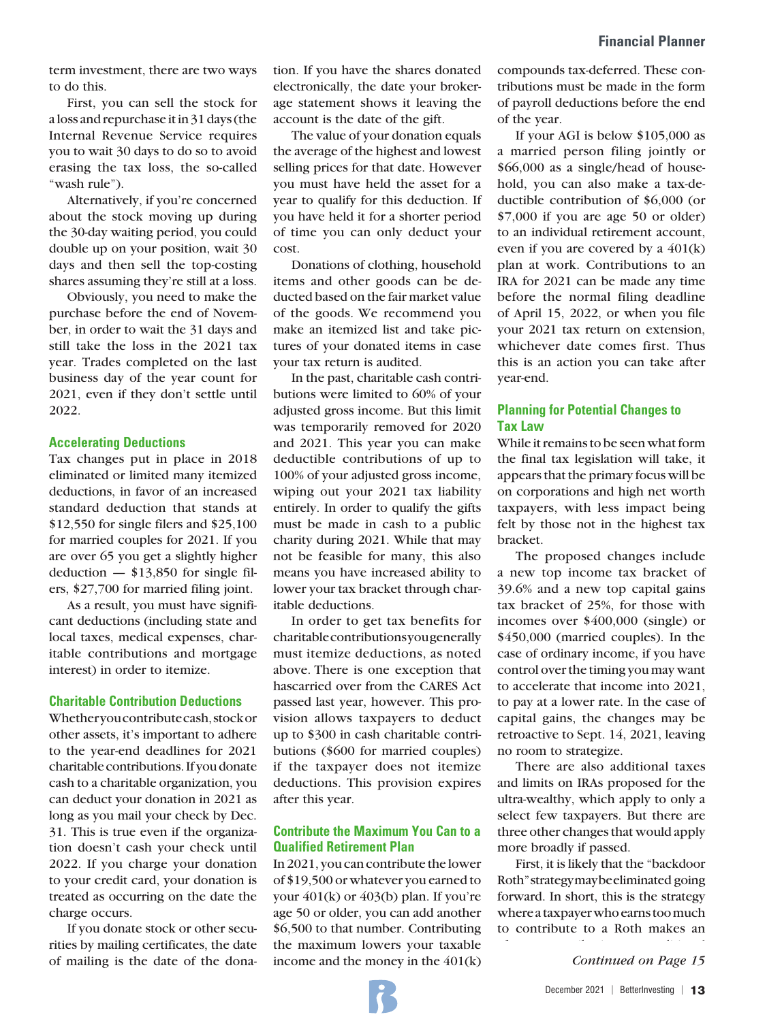term investment, there are two ways to do this.

First, you can sell the stock for a loss and repurchase it in 31 days (the Internal Revenue Service requires you to wait 30 days to do so to avoid erasing the tax loss, the so-called "wash rule").

Alternatively, if you're concerned about the stock moving up during the 30-day waiting period, you could double up on your position, wait 30 days and then sell the top-costing shares assuming they're still at a loss.

Obviously, you need to make the purchase before the end of November, in order to wait the 31 days and still take the loss in the 2021 tax year. Trades completed on the last business day of the year count for 2021, even if they don't settle until 2022.

#### **Accelerating Deductions**

Tax changes put in place in 2018 eliminated or limited many itemized deductions, in favor of an increased standard deduction that stands at \$12,550 for single filers and \$25,100 for married couples for 2021. If you are over 65 you get a slightly higher deduction  $-$  \$13,850 for single filers, \$27,700 for married filing joint.

As a result, you must have significant deductions (including state and local taxes, medical expenses, charitable contributions and mortgage interest) in order to itemize.

#### **Charitable Contribution Deductions**

Whether you contribute cash, stock or other assets, it's important to adhere to the year-end deadlines for 2021 charitable contributions. If you donate cash to a charitable organization, you can deduct your donation in 2021 as long as you mail your check by Dec. 31. This is true even if the organization doesn't cash your check until 2022. If you charge your donation to your credit card, your donation is treated as occurring on the date the charge occurs.

If you donate stock or other securities by mailing certificates, the date of mailing is the date of the donation. If you have the shares donated electronically, the date your brokerage statement shows it leaving the account is the date of the gift.

The value of your donation equals the average of the highest and lowest selling prices for that date. However you must have held the asset for a year to qualify for this deduction. If you have held it for a shorter period of time you can only deduct your cost.

Donations of clothing, household items and other goods can be deducted based on the fair market value of the goods. We recommend you make an itemized list and take pictures of your donated items in case your tax return is audited.

In the past, charitable cash contributions were limited to 60% of your adjusted gross income. But this limit was temporarily removed for 2020 and 2021. This year you can make deductible contributions of up to 100% of your adjusted gross income, wiping out your 2021 tax liability entirely. In order to qualify the gifts must be made in cash to a public charity during 2021. While that may not be feasible for many, this also means you have increased ability to lower your tax bracket through charitable deductions.

In order to get tax benefits for charitable contributions you generally must itemize deductions, as noted above. There is one exception that hascarried over from the CARES Act passed last year, however. This provision allows taxpayers to deduct up to \$300 in cash charitable contributions (\$600 for married couples) if the taxpayer does not itemize deductions. This provision expires after this year.

## **Contribute the Maximum You Can to a Qualified Retirement Plan**

In 2021, you can contribute the lower of \$19,500 or whatever you earned to your 401(k) or 403(b) plan. If you're age 50 or older, you can add another \$6,500 to that number. Contributing the maximum lowers your taxable income and the money in the 401(k) compounds tax-deferred. These contributions must be made in the form of payroll deductions before the end of the year.

If your AGI is below \$105,000 as a married person filing jointly or \$66,000 as a single/head of household, you can also make a tax-deductible contribution of \$6,000 (or \$7,000 if you are age 50 or older) to an individual retirement account, even if you are covered by a 401(k) plan at work. Contributions to an IRA for 2021 can be made any time before the normal filing deadline of April 15, 2022, or when you file your 2021 tax return on extension, whichever date comes first. Thus this is an action you can take after year-end.

### **Planning for Potential Changes to Tax Law**

While it remains to be seen what form the final tax legislation will take, it appears that the primary focus will be on corporations and high net worth taxpayers, with less impact being felt by those not in the highest tax bracket.

The proposed changes include a new top income tax bracket of 39.6% and a new top capital gains tax bracket of 25%, for those with incomes over \$400,000 (single) or \$450,000 (married couples). In the case of ordinary income, if you have control over the timing you may want to accelerate that income into 2021, to pay at a lower rate. In the case of capital gains, the changes may be retroactive to Sept. 14, 2021, leaving no room to strategize.

There are also additional taxes and limits on IRAs proposed for the ultra-wealthy, which apply to only a select few taxpayers. But there are three other changes that would apply more broadly if passed.

First, it is likely that the "backdoor Roth" strategy may be eliminated going forward. In short, this is the strategy where a taxpayer who earns too much to contribute to a Roth makes an

*Continued on Page 15*